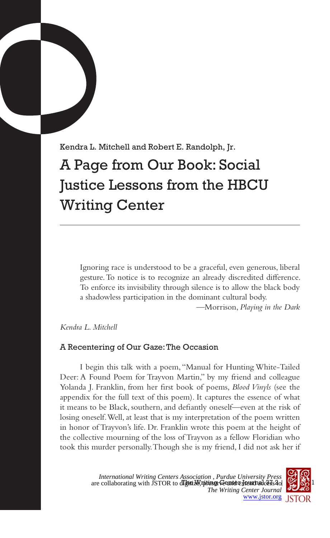Kendra L. Mitchell and Robert E. Randolph, Jr. A Page from Our Book: Social Justice Lessons from the HBCU Writing Center

Ignoring race is understood to be a graceful, even generous, liberal gesture. To notice is to recognize an already discredited difference. To enforce its invisibility through silence is to allow the black body a shadowless participation in the dominant cultural body.

—Morrison, *Playing in the Dark*

## *Kendra L. Mitchell*

## A Recentering of Our Gaze: The Occasion

I begin this talk with a poem, "Manual for Hunting White-Tailed Deer: A Found Poem for Trayvon Martin," by my friend and colleague Yolanda J. Franklin, from her first book of poems, *Blood Vinyls* (see the appendix for the full text of this poem). It captures the essence of what it means to be Black, southern, and defiantly oneself—even at the risk of losing oneself. Well, at least that is my interpretation of the poem written in honor of Trayvon's life. Dr. Franklin wrote this poem at the height of the collective mourning of the loss of Trayvon as a fellow Floridian who took this murder personally. Though she is my friend, I did not ask her if

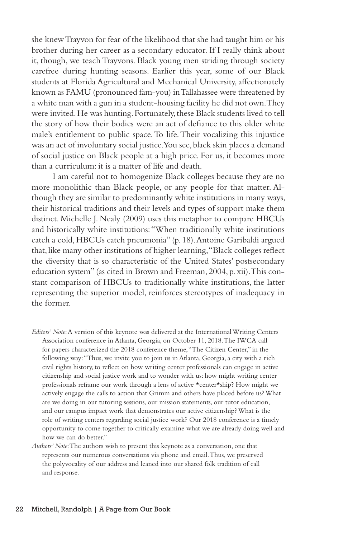she knew Trayvon for fear of the likelihood that she had taught him or his brother during her career as a secondary educator. If I really think about it, though, we teach Trayvons. Black young men striding through society carefree during hunting seasons. Earlier this year, some of our Black students at Florida Agricultural and Mechanical University, affectionately known as FAMU (pronounced fam-you) in Tallahassee were threatened by a white man with a gun in a student-housing facility he did not own. They were invited. He was hunting. Fortunately, these Black students lived to tell the story of how their bodies were an act of defiance to this older white male's entitlement to public space. To life. Their vocalizing this injustice was an act of involuntary social justice. You see, black skin places a demand of social justice on Black people at a high price. For us, it becomes more than a curriculum: it is a matter of life and death.

I am careful not to homogenize Black colleges because they are no more monolithic than Black people, or any people for that matter. Although they are similar to predominantly white institutions in many ways, their historical traditions and their levels and types of support make them distinct. Michelle J. Nealy (2009) uses this metaphor to compare HBCUs and historically white institutions: "When traditionally white institutions catch a cold, HBCUs catch pneumonia" (p. 18). Antoine Garibaldi argued that, like many other institutions of higher learning, "Black colleges reflect the diversity that is so characteristic of the United States' postsecondary education system" (as cited in Brown and Freeman, 2004, p. xii). This constant comparison of HBCUs to traditionally white institutions, the latter representing the superior model, reinforces stereotypes of inadequacy in the former.

*Editors' Note*: A version of this keynote was delivered at the International Writing Centers Association conference in Atlanta, Georgia, on October 11, 2018. The IWCA call for papers characterized the 2018 conference theme, "The Citizen Center," in the following way: "Thus, we invite you to join us in Atlanta, Georgia, a city with a rich civil rights history, to reflect on how writing center professionals can engage in active citizenship and social justice work and to wonder with us: how might writing center professionals reframe our work through a lens of active \*center\*ship? How might we actively engage the calls to action that Grimm and others have placed before us? What are we doing in our tutoring sessions, our mission statements, our tutor education, and our campus impact work that demonstrates our active citizenship? What is the role of writing centers regarding social justice work? Our 2018 conference is a timely opportunity to come together to critically examine what we are already doing well and how we can do better."

*Authors' Note*: The authors wish to present this keynote as a conversation, one that represents our numerous conversations via phone and email. Thus, we preserved the polyvocality of our address and leaned into our shared folk tradition of call and response.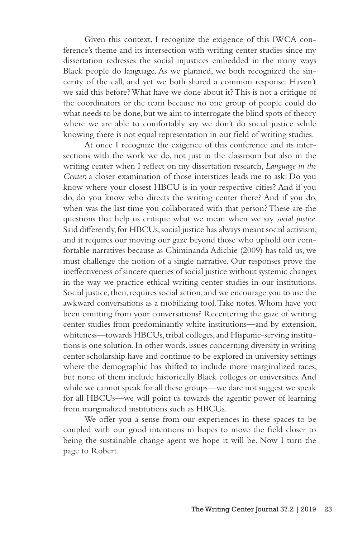Given this context, I recognize the exigence of this IWCA conference's theme and its intersection with writing center studies since my dissertation redresses the social injustices embedded in the many ways Black people do language. As we planned, we both recognized the sincerity of the call, and yet we both shared a common response: Haven't we said this before? What have we done about it? This is not a critique of the coordinators or the team because no one group of people could do what needs to be done, but we aim to interrogate the blind spots of theory where we are able to comfortably say we don't do social justice while knowing there is not equal representation in our field of writing studies.

At once I recognize the exigence of this conference and its intersections with the work we do, not just in the classroom but also in the writing center when I reflect on my dissertation research, *Language in the Center*; a closer examination of those interstices leads me to ask: Do you know where your closest HBCU is in your respective cities? And if you do, do you know who directs the writing center there? And if you do, when was the last time you collaborated with that person? These are the questions that help us critique what we mean when we say *social justice*. Said differently, for HBCUs, social justice has always meant social activism, and it requires our moving our gaze beyond those who uphold our comfortable narratives because as Chiminanda Adichie (2009) has told us, we must challenge the notion of a single narrative. Our responses prove the ineffectiveness of sincere queries of social justice without systemic changes in the way we practice ethical writing center studies in our institutions. Social justice, then, requires social action, and we encourage you to use the awkward conversations as a mobilizing tool. Take notes. Whom have you been omitting from your conversations? Recentering the gaze of writing center studies from predominantly white institutions—and by extension, whiteness—towards HBCUs, tribal colleges, and Hispanic-serving institutions is one solution. In other words, issues concerning diversity in writing center scholarship have and continue to be explored in university settings where the demographic has shifted to include more marginalized races, but none of them include historically Black colleges or universities. And while we cannot speak for all these groups—we dare not suggest we speak for all HBCUs—we will point us towards the agentic power of learning from marginalized institutions such as HBCUs.

We offer you a sense from our experiences in these spaces to be coupled with our good intentions in hopes to move the field closer to being the sustainable change agent we hope it will be. Now I turn the page to Robert.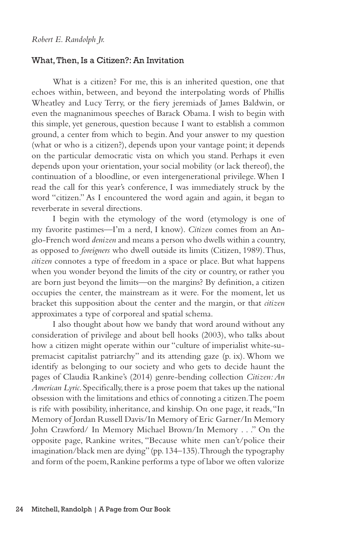#### What, Then, Is a Citizen?: An Invitation

What is a citizen? For me, this is an inherited question, one that echoes within, between, and beyond the interpolating words of Phillis Wheatley and Lucy Terry, or the fiery jeremiads of James Baldwin, or even the magnanimous speeches of Barack Obama. I wish to begin with this simple, yet generous, question because I want to establish a common ground, a center from which to begin. And your answer to my question (what or who is a citizen?), depends upon your vantage point; it depends on the particular democratic vista on which you stand. Perhaps it even depends upon your orientation, your social mobility (or lack thereof), the continuation of a bloodline, or even intergenerational privilege. When I read the call for this year's conference, I was immediately struck by the word "citizen." As I encountered the word again and again, it began to reverberate in several directions.

I begin with the etymology of the word (etymology is one of my favorite pastimes—I'm a nerd, I know). *Citizen* comes from an Anglo-French word *denizen* and means a person who dwells within a country, as opposed to *foreigners* who dwell outside its limits (Citizen, 1989). Thus, *citizen* connotes a type of freedom in a space or place. But what happens when you wonder beyond the limits of the city or country, or rather you are born just beyond the limits—on the margins? By definition, a citizen occupies the center, the mainstream as it were. For the moment, let us bracket this supposition about the center and the margin, or that *citizen* approximates a type of corporeal and spatial schema.

I also thought about how we bandy that word around without any consideration of privilege and about bell hooks (2003), who talks about how a citizen might operate within our "culture of imperialist white-supremacist capitalist patriarchy" and its attending gaze (p. ix). Whom we identify as belonging to our society and who gets to decide haunt the pages of Claudia Rankine's (2014) genre-bending collection *Citizen: An American Lyric*. Specifically, there is a prose poem that takes up the national obsession with the limitations and ethics of connoting a citizen. The poem is rife with possibility, inheritance, and kinship. On one page, it reads, "In Memory of Jordan Russell Davis/In Memory of Eric Garner/In Memory John Crawford/ In Memory Michael Brown/In Memory . . ." On the opposite page, Rankine writes, "Because white men can't/police their imagination/black men are dying" (pp. 134–135). Through the typography and form of the poem, Rankine performs a type of labor we often valorize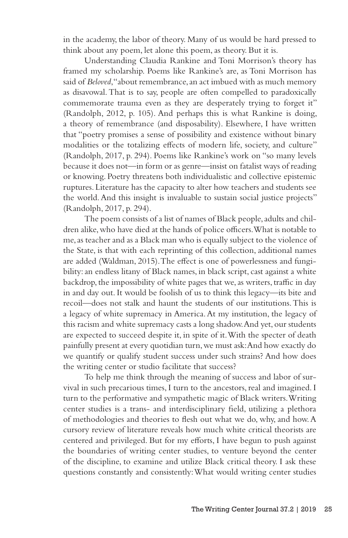in the academy, the labor of theory. Many of us would be hard pressed to think about any poem, let alone this poem, as theory. But it is.

Understanding Claudia Rankine and Toni Morrison's theory has framed my scholarship. Poems like Rankine's are, as Toni Morrison has said of *Beloved*, "about remembrance, an act imbued with as much memory as disavowal. That is to say, people are often compelled to paradoxically commemorate trauma even as they are desperately trying to forget it" (Randolph, 2012, p. 105). And perhaps this is what Rankine is doing, a theory of remembrance (and disposability). Elsewhere, I have written that "poetry promises a sense of possibility and existence without binary modalities or the totalizing effects of modern life, society, and culture" (Randolph, 2017, p. 294). Poems like Rankine's work on "so many levels because it does not—in form or as genre—insist on fatalist ways of reading or knowing. Poetry threatens both individualistic and collective epistemic ruptures. Literature has the capacity to alter how teachers and students see the world. And this insight is invaluable to sustain social justice projects" (Randolph, 2017, p. 294).

The poem consists of a list of names of Black people, adults and children alike, who have died at the hands of police officers. What is notable to me, as teacher and as a Black man who is equally subject to the violence of the State, is that with each reprinting of this collection, additional names are added (Waldman, 2015). The effect is one of powerlessness and fungibility: an endless litany of Black names, in black script, cast against a white backdrop, the impossibility of white pages that we, as writers, traffic in day in and day out. It would be foolish of us to think this legacy—its bite and recoil—does not stalk and haunt the students of our institutions. This is a legacy of white supremacy in America. At my institution, the legacy of this racism and white supremacy casts a long shadow. And yet, our students are expected to succeed despite it, in spite of it. With the specter of death painfully present at every quotidian turn, we must ask: And how exactly do we quantify or qualify student success under such strains? And how does the writing center or studio facilitate that success?

To help me think through the meaning of success and labor of survival in such precarious times, I turn to the ancestors, real and imagined. I turn to the performative and sympathetic magic of Black writers. Writing center studies is a trans- and interdisciplinary field, utilizing a plethora of methodologies and theories to flesh out what we do, why, and how. A cursory review of literature reveals how much white critical theorists are centered and privileged. But for my efforts, I have begun to push against the boundaries of writing center studies, to venture beyond the center of the discipline, to examine and utilize Black critical theory. I ask these questions constantly and consistently: What would writing center studies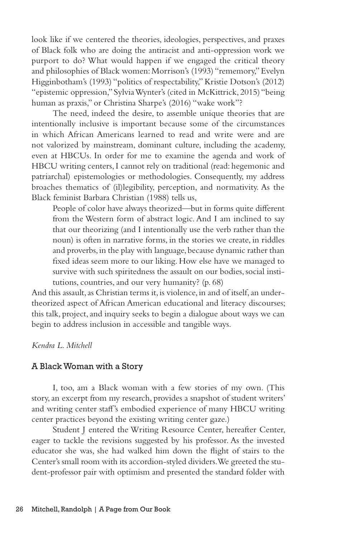look like if we centered the theories, ideologies, perspectives, and praxes of Black folk who are doing the antiracist and anti-oppression work we purport to do? What would happen if we engaged the critical theory and philosophies of Black women: Morrison's (1993) "rememory," Evelyn Higginbotham's (1993) "politics of respectability," Kristie Dotson's (2012) "epistemic oppression," Sylvia Wynter's (cited in McKittrick, 2015) "being human as praxis," or Christina Sharpe's (2016) "wake work"?

The need, indeed the desire, to assemble unique theories that are intentionally inclusive is important because some of the circumstances in which African Americans learned to read and write were and are not valorized by mainstream, dominant culture, including the academy, even at HBCUs. In order for me to examine the agenda and work of HBCU writing centers, I cannot rely on traditional (read: hegemonic and patriarchal) epistemologies or methodologies. Consequently, my address broaches thematics of (il)legibility, perception, and normativity. As the Black feminist Barbara Christian (1988) tells us,

People of color have always theorized—but in forms quite different from the Western form of abstract logic. And I am inclined to say that our theorizing (and I intentionally use the verb rather than the noun) is often in narrative forms, in the stories we create, in riddles and proverbs, in the play with language, because dynamic rather than fixed ideas seem more to our liking. How else have we managed to survive with such spiritedness the assault on our bodies, social institutions, countries, and our very humanity? (p. 68)

And this assault, as Christian terms it, is violence, in and of itself, an undertheorized aspect of African American educational and literacy discourses; this talk, project, and inquiry seeks to begin a dialogue about ways we can begin to address inclusion in accessible and tangible ways.

### *Kendra L. Mitchell*

### A Black Woman with a Story

I, too, am a Black woman with a few stories of my own. (This story, an excerpt from my research, provides a snapshot of student writers' and writing center staff's embodied experience of many HBCU writing center practices beyond the existing writing center gaze.)

Student J entered the Writing Resource Center, hereafter Center, eager to tackle the revisions suggested by his professor. As the invested educator she was, she had walked him down the flight of stairs to the Center's small room with its accordion-styled dividers. We greeted the student-professor pair with optimism and presented the standard folder with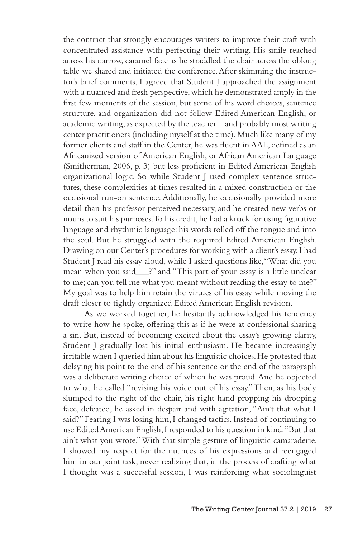the contract that strongly encourages writers to improve their craft with concentrated assistance with perfecting their writing. His smile reached across his narrow, caramel face as he straddled the chair across the oblong table we shared and initiated the conference. After skimming the instructor's brief comments, I agreed that Student J approached the assignment with a nuanced and fresh perspective, which he demonstrated amply in the first few moments of the session, but some of his word choices, sentence structure, and organization did not follow Edited American English, or academic writing, as expected by the teacher—and probably most writing center practitioners (including myself at the time). Much like many of my former clients and staff in the Center, he was fluent in AAL, defined as an Africanized version of American English, or African American Language (Smitherman, 2006, p. 3) but less proficient in Edited American English organizational logic. So while Student J used complex sentence structures, these complexities at times resulted in a mixed construction or the occasional run-on sentence. Additionally, he occasionally provided more detail than his professor perceived necessary, and he created new verbs or nouns to suit his purposes. To his credit, he had a knack for using figurative language and rhythmic language: his words rolled off the tongue and into the soul. But he struggled with the required Edited American English. Drawing on our Center's procedures for working with a client's essay, I had Student J read his essay aloud, while I asked questions like, "What did you mean when you said\_\_\_?" and "This part of your essay is a little unclear to me; can you tell me what you meant without reading the essay to me?" My goal was to help him retain the virtues of his essay while moving the draft closer to tightly organized Edited American English revision.

As we worked together, he hesitantly acknowledged his tendency to write how he spoke, offering this as if he were at confessional sharing a sin. But, instead of becoming excited about the essay's growing clarity, Student J gradually lost his initial enthusiasm. He became increasingly irritable when I queried him about his linguistic choices. He protested that delaying his point to the end of his sentence or the end of the paragraph was a deliberate writing choice of which he was proud. And he objected to what he called "revising his voice out of his essay." Then, as his body slumped to the right of the chair, his right hand propping his drooping face, defeated, he asked in despair and with agitation, "Ain't that what I said?" Fearing I was losing him, I changed tactics. Instead of continuing to use Edited American English, I responded to his question in kind: "But that ain't what you wrote." With that simple gesture of linguistic camaraderie, I showed my respect for the nuances of his expressions and reengaged him in our joint task, never realizing that, in the process of crafting what I thought was a successful session, I was reinforcing what sociolinguist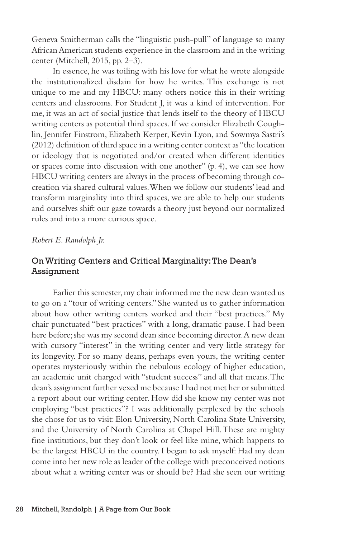Geneva Smitherman calls the "linguistic push-pull" of language so many African American students experience in the classroom and in the writing center (Mitchell, 2015, pp. 2–3).

In essence, he was toiling with his love for what he wrote alongside the institutionalized disdain for how he writes. This exchange is not unique to me and my HBCU: many others notice this in their writing centers and classrooms. For Student J, it was a kind of intervention. For me, it was an act of social justice that lends itself to the theory of HBCU writing centers as potential third spaces. If we consider Elizabeth Coughlin, Jennifer Finstrom, Elizabeth Kerper, Kevin Lyon, and Sowmya Sastri's (2012) definition of third space in a writing center context as "the location or ideology that is negotiated and/or created when different identities or spaces come into discussion with one another" (p. 4), we can see how HBCU writing centers are always in the process of becoming through cocreation via shared cultural values. When we follow our students' lead and transform marginality into third spaces, we are able to help our students and ourselves shift our gaze towards a theory just beyond our normalized rules and into a more curious space.

### *Robert E. Randolph Jr.*

# On Writing Centers and Critical Marginality: The Dean's Assignment

Earlier this semester, my chair informed me the new dean wanted us to go on a "tour of writing centers." She wanted us to gather information about how other writing centers worked and their "best practices." My chair punctuated "best practices" with a long, dramatic pause. I had been here before; she was my second dean since becoming director. A new dean with cursory "interest" in the writing center and very little strategy for its longevity. For so many deans, perhaps even yours, the writing center operates mysteriously within the nebulous ecology of higher education, an academic unit charged with "student success" and all that means. The dean's assignment further vexed me because I had not met her or submitted a report about our writing center. How did she know my center was not employing "best practices"? I was additionally perplexed by the schools she chose for us to visit: Elon University, North Carolina State University, and the University of North Carolina at Chapel Hill. These are mighty fine institutions, but they don't look or feel like mine, which happens to be the largest HBCU in the country. I began to ask myself: Had my dean come into her new role as leader of the college with preconceived notions about what a writing center was or should be? Had she seen our writing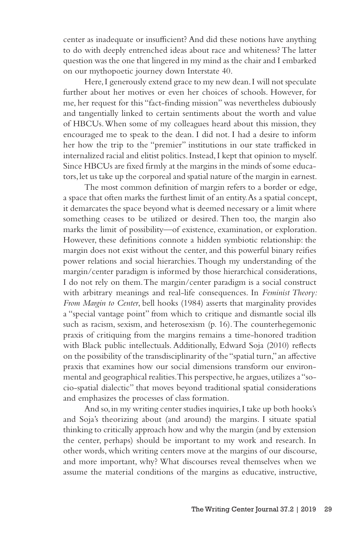center as inadequate or insufficient? And did these notions have anything to do with deeply entrenched ideas about race and whiteness? The latter question was the one that lingered in my mind as the chair and I embarked on our mythopoetic journey down Interstate 40.

Here, I generously extend grace to my new dean. I will not speculate further about her motives or even her choices of schools. However, for me, her request for this "fact-finding mission" was nevertheless dubiously and tangentially linked to certain sentiments about the worth and value of HBCUs. When some of my colleagues heard about this mission, they encouraged me to speak to the dean. I did not. I had a desire to inform her how the trip to the "premier" institutions in our state trafficked in internalized racial and elitist politics. Instead, I kept that opinion to myself. Since HBCUs are fixed firmly at the margins in the minds of some educators, let us take up the corporeal and spatial nature of the margin in earnest.

The most common definition of margin refers to a border or edge, a space that often marks the furthest limit of an entity. As a spatial concept, it demarcates the space beyond what is deemed necessary or a limit where something ceases to be utilized or desired. Then too, the margin also marks the limit of possibility—of existence, examination, or exploration. However, these definitions connote a hidden symbiotic relationship: the margin does not exist without the center, and this powerful binary reifies power relations and social hierarchies. Though my understanding of the margin/center paradigm is informed by those hierarchical considerations, I do not rely on them. The margin/center paradigm is a social construct with arbitrary meanings and real-life consequences. In *Feminist Theory: From Margin to Center*, bell hooks (1984) asserts that marginality provides a "special vantage point" from which to critique and dismantle social ills such as racism, sexism, and heterosexism (p. 16). The counterhegemonic praxis of critiquing from the margins remains a time-honored tradition with Black public intellectuals. Additionally, Edward Soja (2010) reflects on the possibility of the transdisciplinarity of the "spatial turn," an affective praxis that examines how our social dimensions transform our environmental and geographical realities. This perspective, he argues, utilizes a "socio-spatial dialectic" that moves beyond traditional spatial considerations and emphasizes the processes of class formation.

And so, in my writing center studies inquiries, I take up both hooks's and Soja's theorizing about (and around) the margins. I situate spatial thinking to critically approach how and why the margin (and by extension the center, perhaps) should be important to my work and research. In other words, which writing centers move at the margins of our discourse, and more important, why? What discourses reveal themselves when we assume the material conditions of the margins as educative, instructive,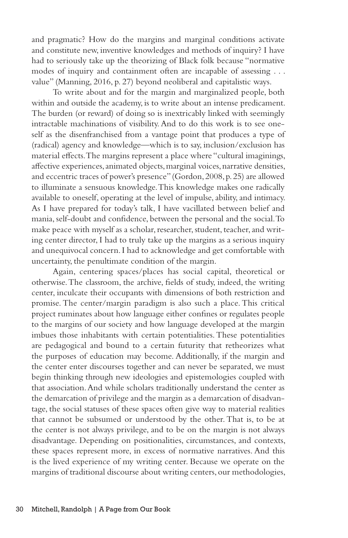and pragmatic? How do the margins and marginal conditions activate and constitute new, inventive knowledges and methods of inquiry? I have had to seriously take up the theorizing of Black folk because "normative modes of inquiry and containment often are incapable of assessing . . . value" (Manning, 2016, p. 27) beyond neoliberal and capitalistic ways.

To write about and for the margin and marginalized people, both within and outside the academy, is to write about an intense predicament. The burden (or reward) of doing so is inextricably linked with seemingly intractable machinations of visibility. And to do this work is to see oneself as the disenfranchised from a vantage point that produces a type of (radical) agency and knowledge—which is to say, inclusion/exclusion has material effects. The margins represent a place where "cultural imaginings, affective experiences, animated objects, marginal voices, narrative densities, and eccentric traces of power's presence" (Gordon, 2008, p. 25) are allowed to illuminate a sensuous knowledge. This knowledge makes one radically available to oneself, operating at the level of impulse, ability, and intimacy. As I have prepared for today's talk, I have vacillated between belief and mania, self-doubt and confidence, between the personal and the social. To make peace with myself as a scholar, researcher, student, teacher, and writing center director, I had to truly take up the margins as a serious inquiry and unequivocal concern. I had to acknowledge and get comfortable with uncertainty, the penultimate condition of the margin.

Again, centering spaces/places has social capital, theoretical or otherwise. The classroom, the archive, fields of study, indeed, the writing center, inculcate their occupants with dimensions of both restriction and promise. The center/margin paradigm is also such a place. This critical project ruminates about how language either confines or regulates people to the margins of our society and how language developed at the margin imbues those inhabitants with certain potentialities. These potentialities are pedagogical and bound to a certain futurity that retheorizes what the purposes of education may become. Additionally, if the margin and the center enter discourses together and can never be separated, we must begin thinking through new ideologies and epistemologies coupled with that association. And while scholars traditionally understand the center as the demarcation of privilege and the margin as a demarcation of disadvantage, the social statuses of these spaces often give way to material realities that cannot be subsumed or understood by the other. That is, to be at the center is not always privilege, and to be on the margin is not always disadvantage. Depending on positionalities, circumstances, and contexts, these spaces represent more, in excess of normative narratives. And this is the lived experience of my writing center. Because we operate on the margins of traditional discourse about writing centers, our methodologies,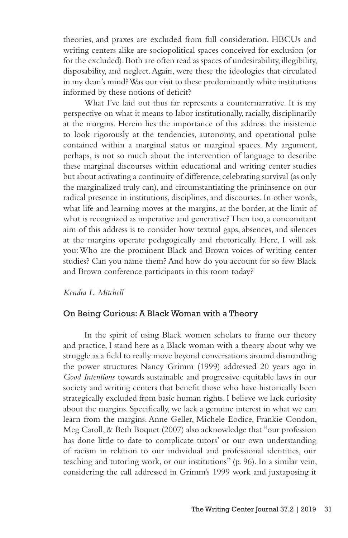theories, and praxes are excluded from full consideration. HBCUs and writing centers alike are sociopolitical spaces conceived for exclusion (or for the excluded). Both are often read as spaces of undesirability, illegibility, disposability, and neglect. Again, were these the ideologies that circulated in my dean's mind? Was our visit to these predominantly white institutions informed by these notions of deficit?

What I've laid out thus far represents a counternarrative. It is my perspective on what it means to labor institutionally, racially, disciplinarily at the margins. Herein lies the importance of this address: the insistence to look rigorously at the tendencies, autonomy, and operational pulse contained within a marginal status or marginal spaces. My argument, perhaps, is not so much about the intervention of language to describe these marginal discourses within educational and writing center studies but about activating a continuity of difference, celebrating survival (as only the marginalized truly can), and circumstantiating the prininsence on our radical presence in institutions, disciplines, and discourses. In other words, what life and learning moves at the margins, at the border, at the limit of what is recognized as imperative and generative? Then too, a concomitant aim of this address is to consider how textual gaps, absences, and silences at the margins operate pedagogically and rhetorically. Here, I will ask you: Who are the prominent Black and Brown voices of writing center studies? Can you name them? And how do you account for so few Black and Brown conference participants in this room today?

### *Kendra L. Mitchell*

#### On Being Curious: A Black Woman with a Theory

In the spirit of using Black women scholars to frame our theory and practice, I stand here as a Black woman with a theory about why we struggle as a field to really move beyond conversations around dismantling the power structures Nancy Grimm (1999) addressed 20 years ago in *Good Intentions* towards sustainable and progressive equitable laws in our society and writing centers that benefit those who have historically been strategically excluded from basic human rights. I believe we lack curiosity about the margins. Specifically, we lack a genuine interest in what we can learn from the margins. Anne Geller, Michele Eodice, Frankie Condon, Meg Caroll, & Beth Boquet (2007) also acknowledge that "our profession has done little to date to complicate tutors' or our own understanding of racism in relation to our individual and professional identities, our teaching and tutoring work, or our institutions" (p. 96). In a similar vein, considering the call addressed in Grimm's 1999 work and juxtaposing it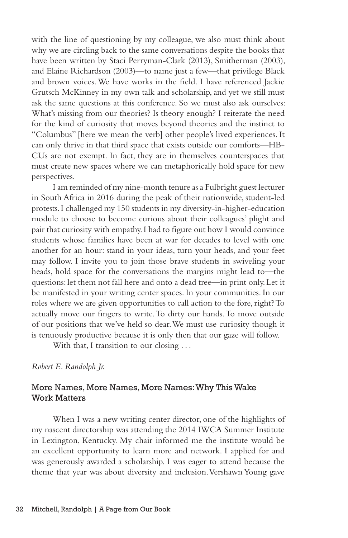with the line of questioning by my colleague, we also must think about why we are circling back to the same conversations despite the books that have been written by Staci Perryman-Clark (2013), Smitherman (2003), and Elaine Richardson (2003)—to name just a few—that privilege Black and brown voices. We have works in the field. I have referenced Jackie Grutsch McKinney in my own talk and scholarship, and yet we still must ask the same questions at this conference. So we must also ask ourselves: What's missing from our theories? Is theory enough? I reiterate the need for the kind of curiosity that moves beyond theories and the instinct to "Columbus" [here we mean the verb] other people's lived experiences. It can only thrive in that third space that exists outside our comforts—HB-CUs are not exempt. In fact, they are in themselves counterspaces that must create new spaces where we can metaphorically hold space for new perspectives.

I am reminded of my nine-month tenure as a Fulbright guest lecturer in South Africa in 2016 during the peak of their nationwide, student-led protests. I challenged my 150 students in my diversity-in-higher-education module to choose to become curious about their colleagues' plight and pair that curiosity with empathy. I had to figure out how I would convince students whose families have been at war for decades to level with one another for an hour: stand in your ideas, turn your heads, and your feet may follow. I invite you to join those brave students in swiveling your heads, hold space for the conversations the margins might lead to—the questions: let them not fall here and onto a dead tree—in print only. Let it be manifested in your writing center spaces. In your communities. In our roles where we are given opportunities to call action to the fore, right? To actually move our fingers to write. To dirty our hands. To move outside of our positions that we've held so dear. We must use curiosity though it is tenuously productive because it is only then that our gaze will follow.

With that, I transition to our closing . . .

*Robert E. Randolph Jr.*

## More Names, More Names, More Names: Why This Wake Work Matters

When I was a new writing center director, one of the highlights of my nascent directorship was attending the 2014 IWCA Summer Institute in Lexington, Kentucky. My chair informed me the institute would be an excellent opportunity to learn more and network. I applied for and was generously awarded a scholarship. I was eager to attend because the theme that year was about diversity and inclusion. Vershawn Young gave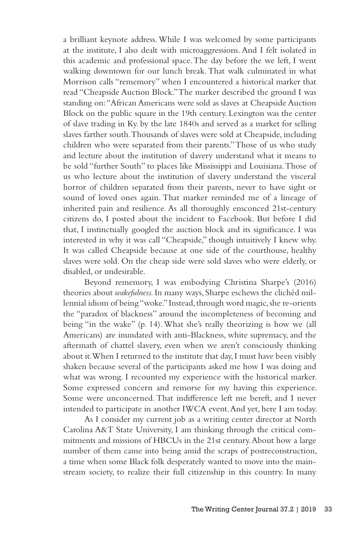a brilliant keynote address. While I was welcomed by some participants at the institute, I also dealt with microaggressions. And I felt isolated in this academic and professional space. The day before the we left, I went walking downtown for our lunch break. That walk culminated in what Morrison calls "rememory" when I encountered a historical marker that read "Cheapside Auction Block." The marker described the ground I was standing on: "African Americans were sold as slaves at Cheapside Auction Block on the public square in the 19th century. Lexington was the center of slave trading in Ky. by the late 1840s and served as a market for selling slaves farther south. Thousands of slaves were sold at Cheapside, including children who were separated from their parents." Those of us who study and lecture about the institution of slavery understand what it means to be sold "further South" to places like Mississippi and Louisiana. Those of us who lecture about the institution of slavery understand the visceral horror of children separated from their parents, never to have sight or sound of loved ones again. That marker reminded me of a lineage of inherited pain and resilience. As all thoroughly ensconced 21st-century citizens do, I posted about the incident to Facebook. But before I did that, I instinctually googled the auction block and its significance. I was interested in why it was call "Cheapside," though intuitively I knew why. It was called Cheapside because at one side of the courthouse, healthy slaves were sold. On the cheap side were sold slaves who were elderly, or disabled, or undesirable.

Beyond rememory, I was embodying Christina Sharpe's (2016) theories about *wakefulness.* In many ways, Sharpe eschews the clichéd millennial idiom of being "woke." Instead, through word magic, she re-orients the "paradox of blackness" around the incompleteness of becoming and being "in the wake" (p. 14). What she's really theorizing is how we (all Americans) are inundated with anti-Blackness, white supremacy, and the aftermath of chattel slavery, even when we aren't consciously thinking about it. When I returned to the institute that day, I must have been visibly shaken because several of the participants asked me how I was doing and what was wrong. I recounted my experience with the historical marker. Some expressed concern and remorse for my having this experience. Some were unconcerned. That indifference left me bereft, and I never intended to participate in another IWCA event. And yet, here I am today.

As I consider my current job as a writing center director at North Carolina A&T State University, I am thinking through the critical commitments and missions of HBCUs in the 21st century. About how a large number of them came into being amid the scraps of postreconstruction, a time when some Black folk desperately wanted to move into the mainstream society, to realize their full citizenship in this country. In many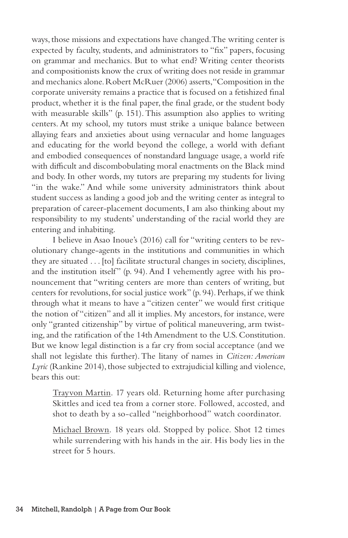ways, those missions and expectations have changed. The writing center is expected by faculty, students, and administrators to "fix" papers, focusing on grammar and mechanics. But to what end? Writing center theorists and compositionists know the crux of writing does not reside in grammar and mechanics alone. Robert McRuer (2006) asserts, "Composition in the corporate university remains a practice that is focused on a fetishized final product, whether it is the final paper, the final grade, or the student body with measurable skills" (p. 151). This assumption also applies to writing centers. At my school, my tutors must strike a unique balance between allaying fears and anxieties about using vernacular and home languages and educating for the world beyond the college, a world with defiant and embodied consequences of nonstandard language usage, a world rife with difficult and discombobulating moral enactments on the Black mind and body. In other words, my tutors are preparing my students for living "in the wake." And while some university administrators think about student success as landing a good job and the writing center as integral to preparation of career-placement documents, I am also thinking about my responsibility to my students' understanding of the racial world they are entering and inhabiting.

I believe in Asao Inoue's (2016) call for "writing centers to be revolutionary change-agents in the institutions and communities in which they are situated . . . [to] facilitate structural changes in society, disciplines, and the institution itself" (p. 94). And I vehemently agree with his pronouncement that "writing centers are more than centers of writing, but centers for revolutions, for social justice work" (p. 94). Perhaps, if we think through what it means to have a "citizen center" we would first critique the notion of "citizen" and all it implies. My ancestors, for instance, were only "granted citizenship" by virtue of political maneuvering, arm twisting, and the ratification of the 14th Amendment to the U.S. Constitution. But we know legal distinction is a far cry from social acceptance (and we shall not legislate this further). The litany of names in *Citizen: American Lyric* (Rankine 2014), those subjected to extrajudicial killing and violence, bears this out:

Trayvon Martin. 17 years old. Returning home after purchasing Skittles and iced tea from a corner store. Followed, accosted, and shot to death by a so-called "neighborhood" watch coordinator.

Michael Brown. 18 years old. Stopped by police. Shot 12 times while surrendering with his hands in the air. His body lies in the street for 5 hours.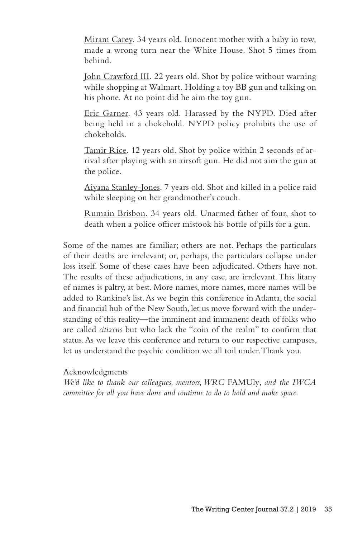Miram Carey. 34 years old. Innocent mother with a baby in tow, made a wrong turn near the White House. Shot 5 times from behind.

John Crawford III. 22 years old. Shot by police without warning while shopping at Walmart. Holding a toy BB gun and talking on his phone. At no point did he aim the toy gun.

Eric Garner. 43 years old. Harassed by the NYPD. Died after being held in a chokehold. NYPD policy prohibits the use of chokeholds.

Tamir Rice. 12 years old. Shot by police within 2 seconds of arrival after playing with an airsoft gun. He did not aim the gun at the police.

Aiyana Stanley-Jones. 7 years old. Shot and killed in a police raid while sleeping on her grandmother's couch.

Rumain Brisbon. 34 years old. Unarmed father of four, shot to death when a police officer mistook his bottle of pills for a gun.

Some of the names are familiar; others are not. Perhaps the particulars of their deaths are irrelevant; or, perhaps, the particulars collapse under loss itself. Some of these cases have been adjudicated. Others have not. The results of these adjudications, in any case, are irrelevant. This litany of names is paltry, at best. More names, more names, more names will be added to Rankine's list. As we begin this conference in Atlanta, the social and financial hub of the New South, let us move forward with the understanding of this reality—the imminent and immanent death of folks who are called *citizens* but who lack the "coin of the realm" to confirm that status. As we leave this conference and return to our respective campuses, let us understand the psychic condition we all toil under. Thank you.

Acknowledgments

*We'd like to thank our colleagues, mentors, WRC* FAMUly*, and the IWCA committee for all you have done and continue to do to hold and make space.*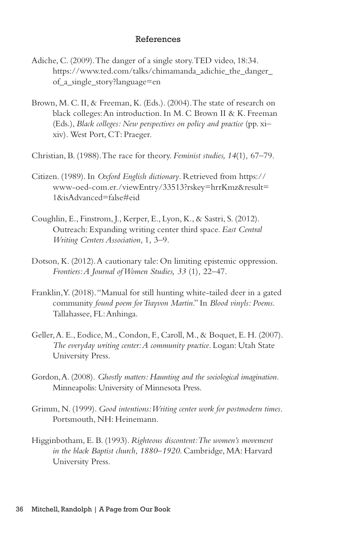### References

- Adiche, C. (2009). The danger of a single story. TED video, 18:34. https://www.ted.com/talks/chimamanda\_adichie\_the\_danger of\_a\_single\_story?language=en
- Brown, M. C. II, & Freeman, K. (Eds.). (2004). The state of research on black colleges: An introduction. In M. C Brown II & K. Freeman (Eds.), *Black colleges: New perspectives on policy and practice* (pp. xi– xiv)*.* West Port, CT: Praeger.
- Christian, B. (1988). The race for theory. *Feminist studies, 14*(1)*,* 67–79.
- Citizen. (1989). In *Oxford English dictionary*. Retrieved from https:// www-oed-com.er./viewEntry/33513?rskey=hrrKmz&result= 1&isAdvanced=false#eid
- Coughlin, E., Finstrom, J., Kerper, E., Lyon, K., & Sastri, S. (2012). Outreach: Expanding writing center third space. *East Central Writing Centers Association,* 1*,* 3–9.
- Dotson, K. (2012). A cautionary tale: On limiting epistemic oppression. *Frontiers: A Journal of Women Studies, 33* (1)*,* 22–47.
- Franklin, Y. (2018). "Manual for still hunting white-tailed deer in a gated community *found poem for Trayvon Martin*." In *Blood vinyls: Poems*. Tallahassee, FL: Anhinga.
- Geller, A. E., Eodice, M., Condon, F., Caroll, M., & Boquet, E. H. (2007). *The everyday writing center: A community practice*. Logan: Utah State University Press.
- Gordon, A. (2008). *Ghostly matters: Haunting and the sociological imagination.*  Minneapolis: University of Minnesota Press.
- Grimm, N. (1999). *Good intentions: Writing center work for postmodern times*. Portsmouth, NH: Heinemann.
- Higginbotham, E. B. (1993). *Righteous discontent: The women's movement in the black Baptist church, 1880*–*1920*. Cambridge, MA: Harvard University Press.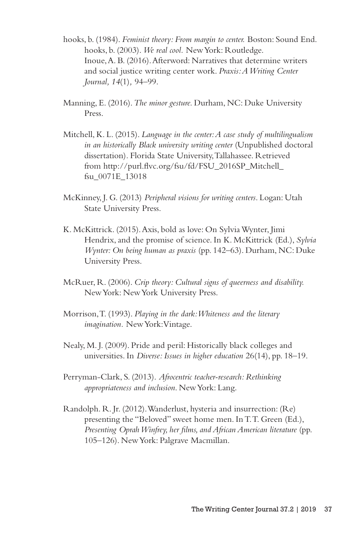- hooks, b. (1984). *Feminist theory: From margin to center.* Boston: Sound End. hooks, b. (2003). *We real cool.* New York: Routledge. Inoue, A. B. (2016). Afterword: Narratives that determine writers and social justice writing center work. *Praxis: A Writing Center Journal, 14*(1)*,* 94–99.
- Manning, E. (2016). *The minor gesture.* Durham, NC: Duke University Press.
- Mitchell, K. L. (2015). *Language in the center: A case study of multilingualism in an historically Black university writing center* (Unpublished doctoral dissertation)*.* Florida State University, Tallahassee. Retrieved from http://purl.flvc.org/fsu/fd/FSU\_2016SP\_Mitchell\_ fsu\_0071E\_13018
- McKinney, J. G. (2013) *Peripheral visions for writing centers*. Logan: Utah State University Press.
- K. McKittrick. (2015). Axis, bold as love: On Sylvia Wynter, Jimi Hendrix, and the promise of science. In K. McKittrick (Ed.), *Sylvia Wynter: On being human as praxis* (pp. 142–63). Durham, NC: Duke University Press.
- McRuer, R. (2006). *Crip theory: Cultural signs of queerness and disability.* New York: New York University Press.
- Morrison, T. (1993). *Playing in the dark: Whiteness and the literary imagination.* New York: Vintage.
- Nealy, M. J. (2009). Pride and peril: Historically black colleges and universities. In *Diverse: Issues in higher education* 26(14), pp. 18–19.
- Perryman-Clark, S. (2013). *Afrocentric teacher-research: Rethinking appropriateness and inclusion*. New York: Lang.
- Randolph. R. Jr. (2012). Wanderlust, hysteria and insurrection: (Re) presenting the "Beloved" sweet home men. In T.T. Green (Ed.), *Presenting Oprah Winfrey, her films, and African American literature* (pp. 105–126). New York: Palgrave Macmillan.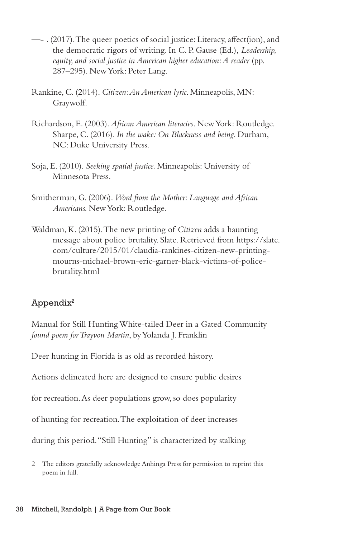- —- . (2017). The queer poetics of social justice: Literacy, affect(ion), and the democratic rigors of writing. In C. P. Gause (Ed.), *Leadership, equity, and social justice in American higher education: A reader (pp.* 287–295). New York: Peter Lang.
- Rankine, C. (2014). *Citizen: An American lyric*. Minneapolis, MN: Graywolf.
- Richardson, E. (2003). *African American literacies*. New York: Routledge. Sharpe, C. (2016). *In the wake: On Blackness and being*. Durham, NC: Duke University Press.
- Soja, E. (2010). *Seeking spatial justice.* Minneapolis: University of Minnesota Press.
- Smitherman, G. (2006). *Word from the Mother: Language and African Americans.* New York: Routledge.
- Waldman, K. (2015). The new printing of *Citizen* adds a haunting message about police brutality. Slate. Retrieved from https://slate. com/culture/2015/01/claudia-rankines-citizen-new-printingmourns-michael-brown-eric-garner-black-victims-of-policebrutality.html

# $Appendix<sup>2</sup>$

Manual for Still Hunting White-tailed Deer in a Gated Community *found poem for Trayvon Martin*, by Yolanda J. Franklin

Deer hunting in Florida is as old as recorded history.

Actions delineated here are designed to ensure public desires

for recreation. As deer populations grow, so does popularity

of hunting for recreation. The exploitation of deer increases

during this period. "Still Hunting" is characterized by stalking

<sup>2</sup> The editors gratefully acknowledge Anhinga Press for permission to reprint this poem in full.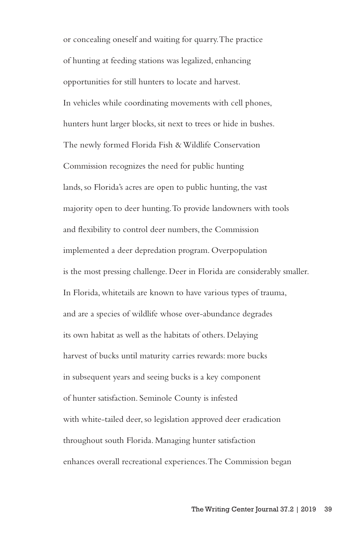or concealing oneself and waiting for quarry. The practice of hunting at feeding stations was legalized, enhancing opportunities for still hunters to locate and harvest. In vehicles while coordinating movements with cell phones, hunters hunt larger blocks, sit next to trees or hide in bushes. The newly formed Florida Fish & Wildlife Conservation Commission recognizes the need for public hunting lands, so Florida's acres are open to public hunting, the vast majority open to deer hunting. To provide landowners with tools and flexibility to control deer numbers, the Commission implemented a deer depredation program. Overpopulation is the most pressing challenge. Deer in Florida are considerably smaller. In Florida, whitetails are known to have various types of trauma, and are a species of wildlife whose over-abundance degrades its own habitat as well as the habitats of others. Delaying harvest of bucks until maturity carries rewards: more bucks in subsequent years and seeing bucks is a key component of hunter satisfaction. Seminole County is infested with white-tailed deer, so legislation approved deer eradication throughout south Florida. Managing hunter satisfaction enhances overall recreational experiences. The Commission began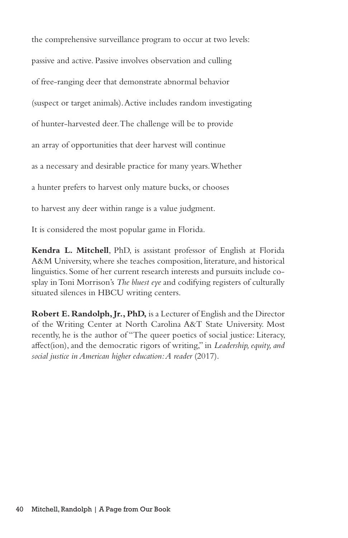the comprehensive surveillance program to occur at two levels: passive and active. Passive involves observation and culling of free-ranging deer that demonstrate abnormal behavior (suspect or target animals). Active includes random investigating of hunter-harvested deer. The challenge will be to provide an array of opportunities that deer harvest will continue as a necessary and desirable practice for many years. Whether a hunter prefers to harvest only mature bucks, or chooses to harvest any deer within range is a value judgment.

It is considered the most popular game in Florida.

**Kendra L. Mitchell**, PhD, is assistant professor of English at Florida A&M University, where she teaches composition, literature, and historical linguistics. Some of her current research interests and pursuits include cosplay in Toni Morrison's *The bluest eye* and codifying registers of culturally situated silences in HBCU writing centers.

**Robert E. Randolph, Jr., PhD,** is a Lecturer of English and the Director of the Writing Center at North Carolina A&T State University. Most recently, he is the author of "The queer poetics of social justice: Literacy, affect(ion), and the democratic rigors of writing," in *Leadership, equity, and social justice in American higher education: A reader* (2017).